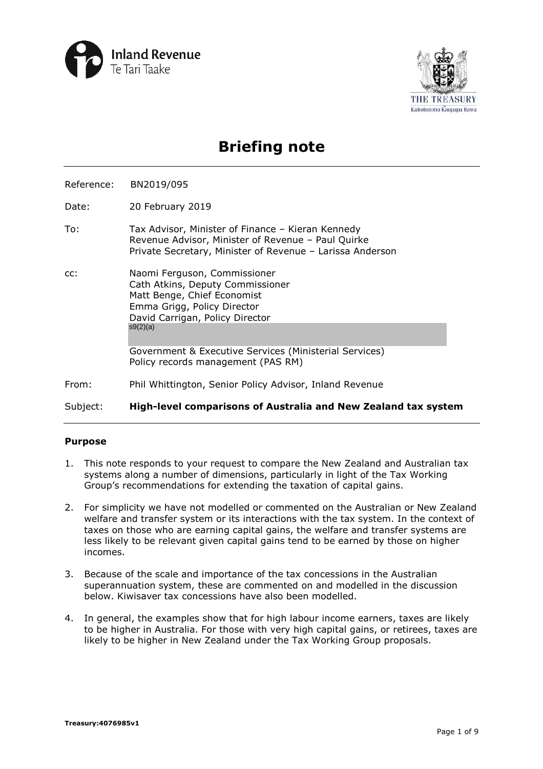



# **Briefing note**

Reference: BN2019/095

- Date: 20 February 2019
- To: Tax Advisor, Minister of Finance Kieran Kennedy Revenue Advisor, Minister of Revenue – Paul Quirke Private Secretary, Minister of Revenue – Larissa Anderson
- cc: Naomi Ferguson, Commissioner Government & Executive Services (Ministerial Services) Cath Atkins, Deputy Commissioner Matt Benge, Chief Economist Emma Grigg, Policy Director David Carrigan, Policy Director s9(2)(a) Policy records management (PAS RM) From: Phil Whittington, Senior Policy Advisor, Inland Revenue

#### Subject: **High-level comparisons of Australia and New Zealand tax system**

#### **Purpose**

- systems along a number of dimensions, particularly in light of the Tax Working 1. This note responds to your request to compare the New Zealand and Australian tax Group's recommendations for extending the taxation of capital gains.
- welfare and transfer system or its interactions with the tax system. In the context of 2. For simplicity we have not modelled or commented on the Australian or New Zealand taxes on those who are earning capital gains, the welfare and transfer systems are less likely to be relevant given capital gains tend to be earned by those on higher incomes.
- 3. Because of the scale and importance of the tax concessions in the Australian superannuation system, these are commented on and modelled in the discussion below. Kiwisaver tax concessions have also been modelled.
- 4. In general, the examples show that for high labour income earners, taxes are likely to be higher in Australia. For those with very high capital gains, or retirees, taxes are likely to be higher in New Zealand under the Tax Working Group proposals.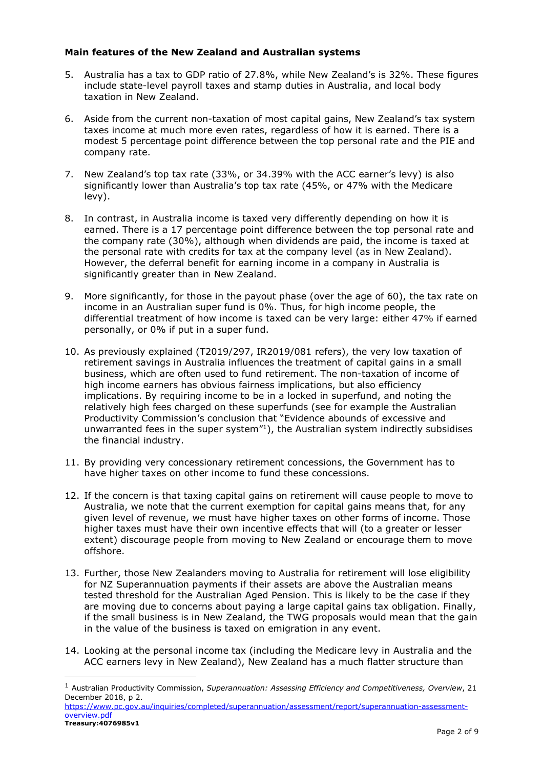### **Main features of the New Zealand and Australian systems**

- 5. Australia has a tax to GDP ratio of 27.8%, while New Zealand's is 32%. These figures include state-level payroll taxes and stamp duties in Australia, and local body taxation in New Zealand.
- taxes income at much more even rates, regardless of how it is earned. There is a 6. Aside from the current non-taxation of most capital gains, New Zealand's tax system modest 5 percentage point difference between the top personal rate and the PIE and company rate.
- significantly lower than Australia's top tax rate (45%, or 47% with the Medicare levy). 7. New Zealand's top tax rate (33%, or 34.39% with the ACC earner's levy) is also
- the personal rate with credits for tax at the company level (as in New Zealand). However, the deferral benefit for earning income in a company in Australia is 8. In contrast, in Australia income is taxed very differently depending on how it is earned. There is a 17 percentage point difference between the top personal rate and the company rate (30%), although when dividends are paid, the income is taxed at significantly greater than in New Zealand.
- 9. More significantly, for those in the payout phase (over the age of 60), the tax rate on personally, or 0% if put in a super fund. income in an Australian super fund is 0%. Thus, for high income people, the differential treatment of how income is taxed can be very large: either 47% if earned
- business, which are often used to fund retirement. The non-taxation of income of high income earners has obvious fairness implications, but also efficiency the financial industry. 10. As previously explained (T2019/297, IR2019/081 refers), the very low taxation of retirement savings in Australia influences the treatment of capital gains in a small implications. By requiring income to be in a locked in superfund, and noting the relatively high fees charged on these superfunds (see for example the Australian Productivity Commission's conclusion that "Evidence abounds of excessive and unwarranted fees in the super system $''$ ), the Australian system indirectly subsidises
- have higher taxes on other income to fund these concessions. 11. By providing very concessionary retirement concessions, the Government has to
- given level of revenue, we must have higher taxes on other forms of income. Those extent) discourage people from moving to New Zealand or encourage them to move offshore. 12. If the concern is that taxing capital gains on retirement will cause people to move to Australia, we note that the current exemption for capital gains means that, for any higher taxes must have their own incentive effects that will (to a greater or lesser
- offshore.<br>13. Further, those New Zealanders moving to Australia for retirement will lose eligibility in the value of the business is taxed on emigration in any event. for NZ Superannuation payments if their assets are above the Australian means tested threshold for the Australian Aged Pension. This is likely to be the case if they are moving due to concerns about paying a large capital gains tax obligation. Finally, if the small business is in New Zealand, the TWG proposals would mean that the gain
- 14. Looking at the personal income tax (including the Medicare levy in Australia and the ACC earners levy in New Zealand), New Zealand has a much flatter structure than

-

<sup>1</sup> Australian Productivity Commission, *Superannuation: Assessing Efficiency and Competitiveness, Overview*, 21 December 2018, p 2.

<https://www.pc.gov.au/inquiries/completed/superannuation/assessment/report/superannuation-assessment>overview.pdf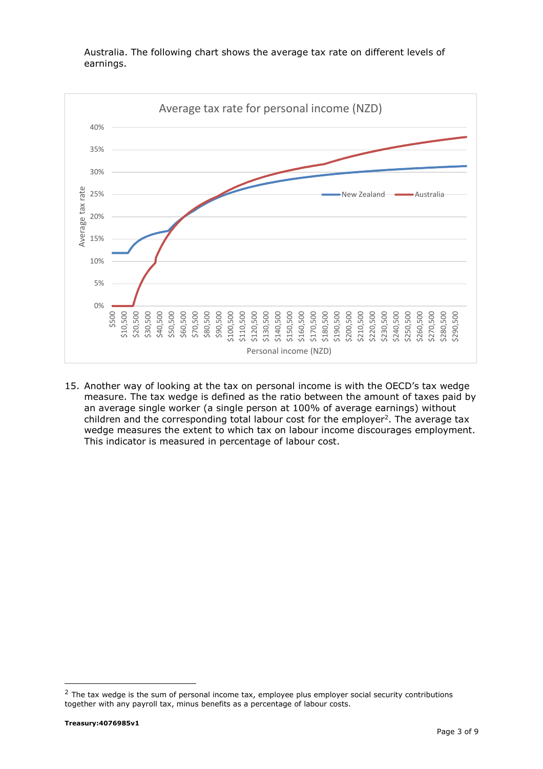

Australia. The following chart shows the average tax rate on different levels of earnings.

 15. Another way of looking at the tax on personal income is with the OECD's tax wedge children and the corresponding total labour cost for the employer<sup>2</sup>. The average tax measure. The tax wedge is defined as the ratio between the amount of taxes paid by an average single worker (a single person at 100% of average earnings) without wedge measures the extent to which tax on labour income discourages employment. This indicator is measured in percentage of labour cost.

1

 $2$  The tax wedge is the sum of personal income tax, employee plus employer social security contributions together with any payroll tax, minus benefits as a percentage of labour costs.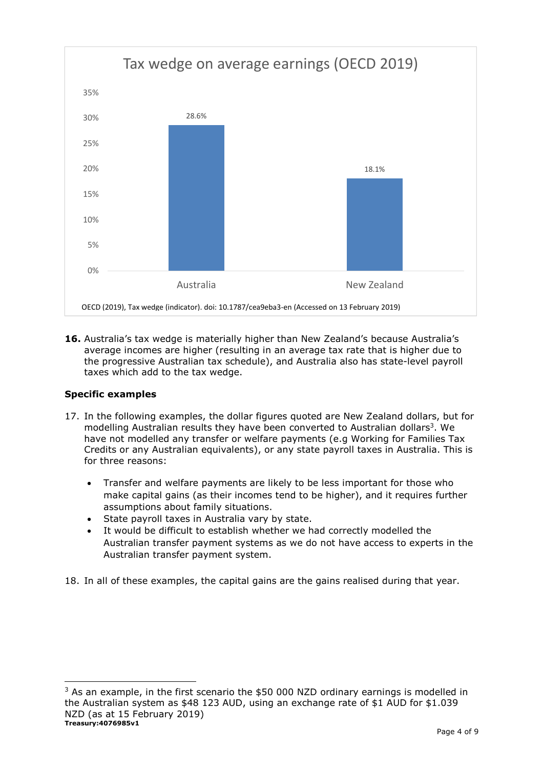

16. Australia's tax wedge is materially higher than New Zealand's because Australia's average incomes are higher (resulting in an average tax rate that is higher due to the progressive Australian tax schedule), and Australia also has state-level payroll taxes which add to the tax wedge.

## **Specific examples**

- Credits or any Australian equivalents), or any state payroll taxes in Australia. This is for three reasons: 17. In the following examples, the dollar figures quoted are New Zealand dollars, but for modelling Australian results they have been converted to Australian dollars<sup>3</sup>. We have not modelled any transfer or welfare payments (e.g Working for Families Tax
	- • Transfer and welfare payments are likely to be less important for those who make capital gains (as their incomes tend to be higher), and it requires further assumptions about family situations.
	- State payroll taxes in Australia vary by state.
	- It would be difficult to establish whether we had correctly modelled the Australian transfer payment systems as we do not have access to experts in the Australian transfer payment system.
- 18. In all of these examples, the capital gains are the gains realised during that year.

<sup>&</sup>lt;sup>3</sup> As an example, in the first scenario the \$50 000 NZD ordinary earnings is modelled in NZD (as at 15 February 2019) the Australian system as \$48 123 AUD, using an exchange rate of \$1 AUD for \$1.039 **Treasury:4076985v1**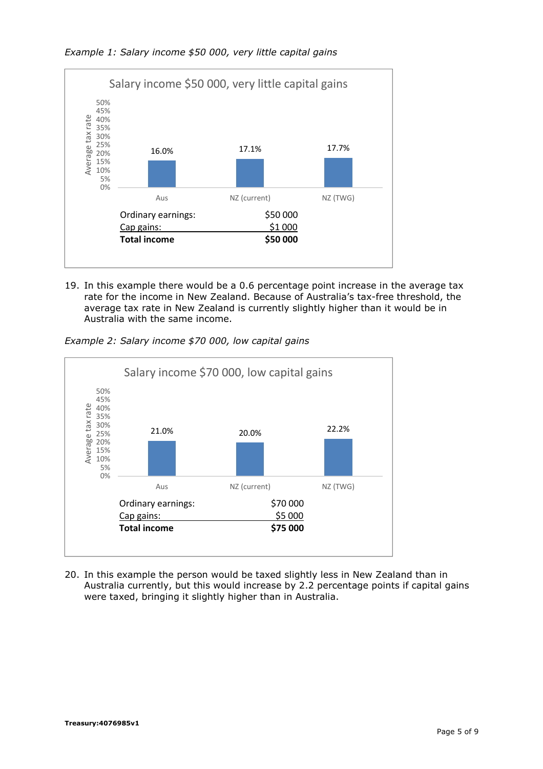



 Australia with the same income. 19. In this example there would be a 0.6 percentage point increase in the average tax rate for the income in New Zealand. Because of Australia's tax-free threshold, the average tax rate in New Zealand is currently slightly higher than it would be in

*Example 2: Salary income \$70 000, low capital gains* 



 were taxed, bringing it slightly higher than in Australia. 20. In this example the person would be taxed slightly less in New Zealand than in Australia currently, but this would increase by 2.2 percentage points if capital gains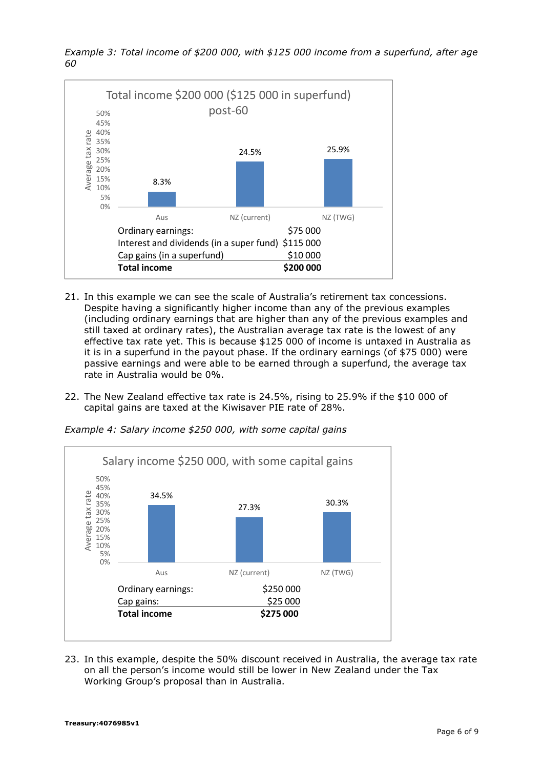

 *Example 3: Total income of \$200 000, with \$125 000 income from a superfund, after age 60* 

- 21. In this example we can see the scale of Australia's retirement tax concessions. effective tax rate yet. This is because \$125 000 of income is untaxed in Australia as it is in a superfund in the payout phase. If the ordinary earnings (of \$75 000) were Despite having a significantly higher income than any of the previous examples (including ordinary earnings that are higher than any of the previous examples and still taxed at ordinary rates), the Australian average tax rate is the lowest of any passive earnings and were able to be earned through a superfund, the average tax rate in Australia would be 0%.
- capital gains are taxed at the Kiwisaver PIE rate of 28%. 22. The New Zealand effective tax rate is 24.5%, rising to 25.9% if the \$10 000 of



*Example 4: Salary income \$250 000, with some capital gains* 

23. In this example, despite the 50% discount received in Australia, the average tax rate on all the person's income would still be lower in New Zealand under the Tax Working Group's proposal than in Australia.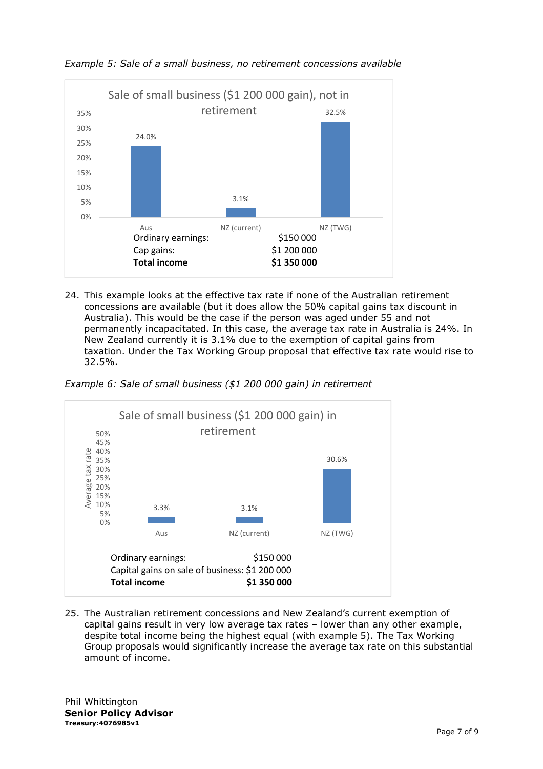

*Example 5: Sale of a small business, no retirement concessions available* 

 concessions are available (but it does allow the 50% capital gains tax discount in Australia). This would be the case if the person was aged under 55 and not permanently incapacitated. In this case, the average tax rate in Australia is 24%. In 24. This example looks at the effective tax rate if none of the Australian retirement New Zealand currently it is 3.1% due to the exemption of capital gains from taxation. Under the Tax Working Group proposal that effective tax rate would rise to 32.5%.

*Example 6: Sale of small business (\$1 200 000 gain) in retirement* 



 despite total income being the highest equal (with example 5). The Tax Working Group proposals would significantly increase the average tax rate on this substantial 25. The Australian retirement concessions and New Zealand's current exemption of capital gains result in very low average tax rates – lower than any other example, amount of income.

Phil Whittington **Senior Policy Advisor Treasury:4076985v1**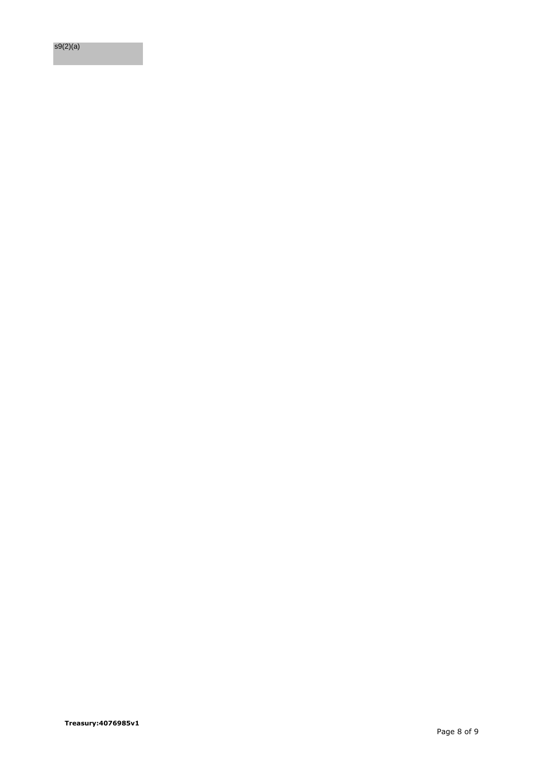s9(2)(a)